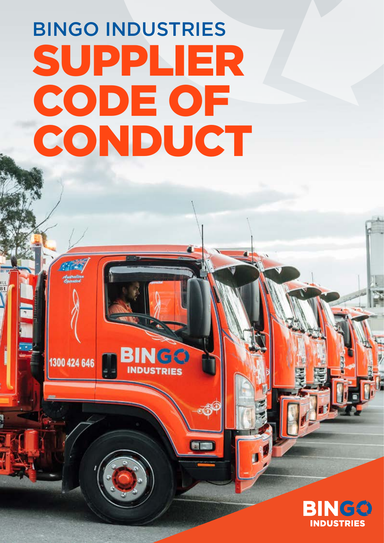# BINGO INDUSTRIES SUPPLIER CODE OF CONDUCT

**IGC** 

1300 424 646

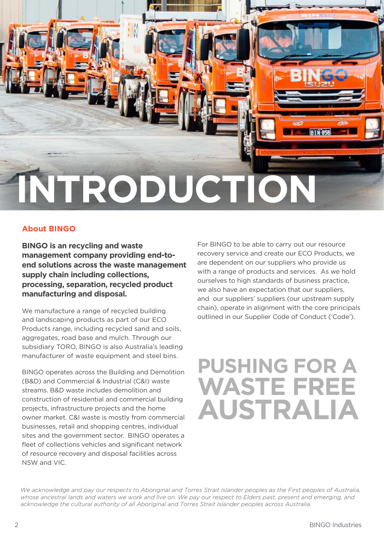

#### **About BINGO**

**BINGO is an recycling and waste management company providing end-toend solutions across the waste management supply chain including collections, processing, separation, recycled product manufacturing and disposal.**

We manufacture a range of recycled building and landscaping products as part of our ECO Products range, including recycled sand and soils, aggregates, road base and mulch. Through our subsidiary TORO, BINGO is also Australia's leading manufacturer of waste equipment and steel bins.

BINGO operates across the Building and Demolition (B&D) and Commercial & Industrial (C&I) waste streams. B&D waste includes demolition and construction of residential and commercial building projects, infrastructure projects and the home owner market. C&I waste is mostly from commercial businesses, retail and shopping centres, individual sites and the government sector. BINGO operates a fleet of collections vehicles and significant network of resource recovery and disposal facilities across NSW and VIC.

For BINGO to be able to carry out our resource recovery service and create our ECO Products, we are dependent on our suppliers who provide us with a range of products and services. As we hold ourselves to high standards of business practice, we also have an expectation that our suppliers, and our suppliers' suppliers (our upstream supply chain), operate in alignment with the core principals outlined in our Supplier Code of Conduct ('Code').

### **PUSHING FOR A WASTE FREE AUSTRAL**

*We acknowledge and pay our respects to Aboriginal and Torres Strait Islander peoples as the First peoples of Australia,*  whose ancestral lands and waters we work and live on. We pay our respect to Elders past, present and emerging, and *acknowledge the cultural authority of all Aboriginal and Torres Strait Islander peoples across Australia.*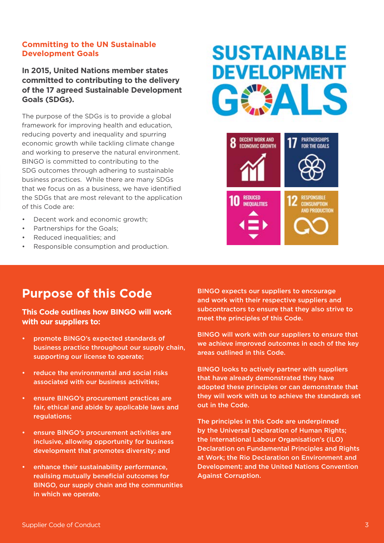#### **Committing to the UN Sustainable Development Goals**

#### **In 2015, United Nations member states committed to contributing to the delivery of the 17 agreed Sustainable Development Goals (SDGs).**

The purpose of the SDGs is to provide a global framework for improving health and education, reducing poverty and inequality and spurring economic growth while tackling climate change and working to preserve the natural environment. BINGO is committed to contributing to the SDG outcomes through adhering to sustainable business practices. While there are many SDGs that we focus on as a business, we have identified the SDGs that are most relevant to the application of this Code are:

- Decent work and economic growth:
- Partnerships for the Goals:
- Reduced inequalities; and
- Responsible consumption and production.

### **SUSTAINABLE DEVELOPMENT** GEALS



#### **Purpose of this Code**

#### **This Code outlines how BINGO will work with our suppliers to:**

- promote BINGO's expected standards of business practice throughout our supply chain, supporting our license to operate;
- reduce the environmental and social risks associated with our business activities;
- ensure BINGO's procurement practices are fair, ethical and abide by applicable laws and regulations;
- ensure BINGO's procurement activities are inclusive, allowing opportunity for business development that promotes diversity; and
- enhance their sustainability performance, realising mutually beneficial outcomes for BINGO, our supply chain and the communities in which we operate.

BINGO expects our suppliers to encourage and work with their respective suppliers and subcontractors to ensure that they also strive to meet the principles of this Code.

BINGO will work with our suppliers to ensure that we achieve improved outcomes in each of the key areas outlined in this Code.

BINGO looks to actively partner with suppliers that have already demonstrated they have adopted these principles or can demonstrate that they will work with us to achieve the standards set out in the Code.

The principles in this Code are underpinned by the Universal Declaration of Human Rights; the International Labour Organisation's (ILO) Declaration on Fundamental Principles and Rights at Work; the Rio Declaration on Environment and Development; and the United Nations Convention Against Corruption.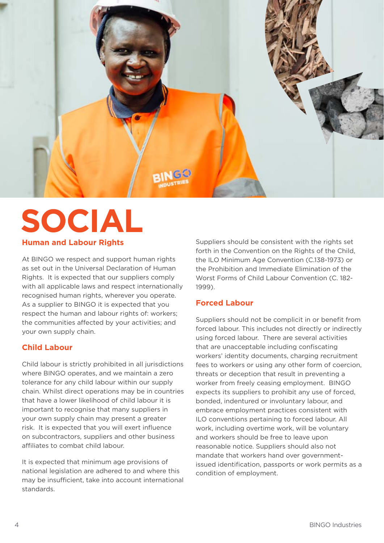

### **Human and Labour Rights SOCIAL**

At BINGO we respect and support human rights as set out in the Universal Declaration of Human Rights. It is expected that our suppliers comply with all applicable laws and respect internationally recognised human rights, wherever you operate. As a supplier to BINGO it is expected that you respect the human and labour rights of: workers; the communities affected by your activities; and your own supply chain.

#### **Child Labour**

Child labour is strictly prohibited in all jurisdictions where BINGO operates, and we maintain a zero tolerance for any child labour within our supply chain. Whilst direct operations may be in countries that have a lower likelihood of child labour it is important to recognise that many suppliers in your own supply chain may present a greater risk. It is expected that you will exert influence on subcontractors, suppliers and other business affiliates to combat child labour.

It is expected that minimum age provisions of national legislation are adhered to and where this may be insufficient, take into account international standards.

Suppliers should be consistent with the rights set forth in the Convention on the Rights of the Child, the ILO Minimum Age Convention (C.138-1973) or the Prohibition and Immediate Elimination of the Worst Forms of Child Labour Convention (C. 182- 1999).

#### **Forced Labour**

Suppliers should not be complicit in or benefit from forced labour. This includes not directly or indirectly using forced labour. There are several activities that are unacceptable including confiscating workers' identity documents, charging recruitment fees to workers or using any other form of coercion, threats or deception that result in preventing a worker from freely ceasing employment. BINGO expects its suppliers to prohibit any use of forced, bonded, indentured or involuntary labour, and embrace employment practices consistent with ILO conventions pertaining to forced labour. All work, including overtime work, will be voluntary and workers should be free to leave upon reasonable notice. Suppliers should also not mandate that workers hand over governmentissued identification, passports or work permits as a condition of employment.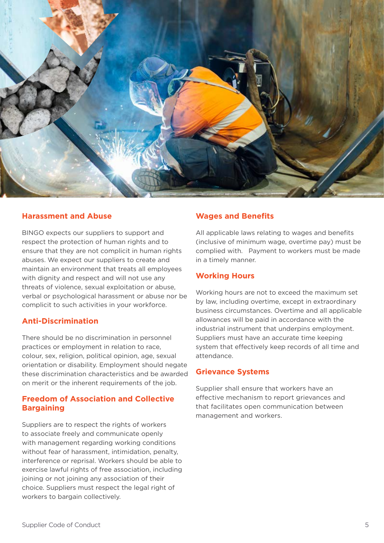

#### **Harassment and Abuse**

BINGO expects our suppliers to support and respect the protection of human rights and to ensure that they are not complicit in human rights abuses. We expect our suppliers to create and maintain an environment that treats all employees with dignity and respect and will not use any threats of violence, sexual exploitation or abuse, verbal or psychological harassment or abuse nor be complicit to such activities in your workforce.

#### **Anti-Discrimination**

There should be no discrimination in personnel practices or employment in relation to race, colour, sex, religion, political opinion, age, sexual orientation or disability. Employment should negate these discrimination characteristics and be awarded on merit or the inherent requirements of the job.

#### **Freedom of Association and Collective Bargaining**

Suppliers are to respect the rights of workers to associate freely and communicate openly with management regarding working conditions without fear of harassment, intimidation, penalty, interference or reprisal. Workers should be able to exercise lawful rights of free association, including joining or not joining any association of their choice. Suppliers must respect the legal right of workers to bargain collectively.

#### **Wages and Benefits**

All applicable laws relating to wages and benefits (inclusive of minimum wage, overtime pay) must be complied with. Payment to workers must be made in a timely manner.

#### **Working Hours**

Working hours are not to exceed the maximum set by law, including overtime, except in extraordinary business circumstances. Overtime and all applicable allowances will be paid in accordance with the industrial instrument that underpins employment. Suppliers must have an accurate time keeping system that effectively keep records of all time and attendance.

#### **Grievance Systems**

Supplier shall ensure that workers have an effective mechanism to report grievances and that facilitates open communication between management and workers.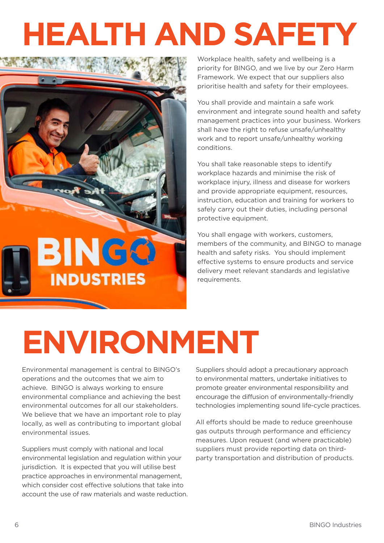# **HEALTH AND SAFETY**



Workplace health, safety and wellbeing is a priority for BINGO, and we live by our Zero Harm Framework. We expect that our suppliers also prioritise health and safety for their employees.

You shall provide and maintain a safe work environment and integrate sound health and safety management practices into your business. Workers shall have the right to refuse unsafe/unhealthy work and to report unsafe/unhealthy working conditions.

You shall take reasonable steps to identify workplace hazards and minimise the risk of workplace injury, illness and disease for workers and provide appropriate equipment, resources, instruction, education and training for workers to safely carry out their duties, including personal protective equipment.

You shall engage with workers, customers, members of the community, and BINGO to manage health and safety risks. You should implement effective systems to ensure products and service delivery meet relevant standards and legislative requirements.

## **ENVIRONMENT**

Environmental management is central to BINGO's operations and the outcomes that we aim to achieve. BINGO is always working to ensure environmental compliance and achieving the best environmental outcomes for all our stakeholders. We believe that we have an important role to play locally, as well as contributing to important global environmental issues.

Suppliers must comply with national and local environmental legislation and regulation within your jurisdiction. It is expected that you will utilise best practice approaches in environmental management, which consider cost effective solutions that take into account the use of raw materials and waste reduction. Suppliers should adopt a precautionary approach to environmental matters, undertake initiatives to promote greater environmental responsibility and encourage the diffusion of environmentally-friendly technologies implementing sound life-cycle practices.

All efforts should be made to reduce greenhouse gas outputs through performance and efficiency measures. Upon request (and where practicable) suppliers must provide reporting data on thirdparty transportation and distribution of products.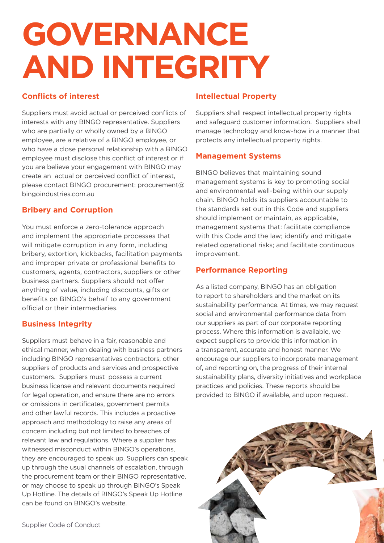## **GOVERNANCE AND INTEGRITY**

#### **Conflicts of interest**

Suppliers must avoid actual or perceived conflicts of interests with any BINGO representative. Suppliers who are partially or wholly owned by a BINGO employee, are a relative of a BINGO employee, or who have a close personal relationship with a BINGO employee must disclose this conflict of interest or if you are believe your engagement with BINGO may create an actual or perceived conflict of interest, please contact BINGO procurement: procurement@ bingoindustries.com.au

#### **Bribery and Corruption**

You must enforce a zero-tolerance approach and implement the appropriate processes that will mitigate corruption in any form, including bribery, extortion, kickbacks, facilitation payments and improper private or professional benefits to customers, agents, contractors, suppliers or other business partners. Suppliers should not offer anything of value, including discounts, gifts or benefits on BINGO's behalf to any government official or their intermediaries.

#### **Business Integrity**

Suppliers must behave in a fair, reasonable and ethical manner, when dealing with business partners including BINGO representatives contractors, other suppliers of products and services and prospective customers. Suppliers must possess a current business license and relevant documents required for legal operation, and ensure there are no errors or omissions in certificates, government permits and other lawful records. This includes a proactive approach and methodology to raise any areas of concern including but not limited to breaches of relevant law and regulations. Where a supplier has witnessed misconduct within BINGO's operations. they are encouraged to speak up. Suppliers can speak up through the usual channels of escalation, through the procurement team or their BINGO representative, or may choose to speak up through BINGO's Speak Up Hotline. The details of BINGO's Speak Up Hotline can be found on BINGO's website.

#### **Intellectual Property**

Suppliers shall respect intellectual property rights and safeguard customer information. Suppliers shall manage technology and know-how in a manner that protects any intellectual property rights.

#### **Management Systems**

BINGO believes that maintaining sound management systems is key to promoting social and environmental well-being within our supply chain. BINGO holds its suppliers accountable to the standards set out in this Code and suppliers should implement or maintain, as applicable, management systems that: facilitate compliance with this Code and the law; identify and mitigate related operational risks; and facilitate continuous improvement.

#### **Performance Reporting**

As a listed company, BINGO has an obligation to report to shareholders and the market on its sustainability performance. At times, we may request social and environmental performance data from our suppliers as part of our corporate reporting process. Where this information is available, we expect suppliers to provide this information in a transparent, accurate and honest manner. We encourage our suppliers to incorporate management of, and reporting on, the progress of their internal sustainability plans, diversity initiatives and workplace practices and policies. These reports should be provided to BINGO if available, and upon request.

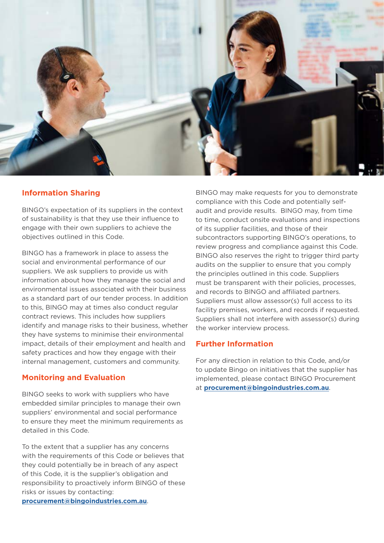

#### **Information Sharing**

BINGO's expectation of its suppliers in the context of sustainability is that they use their influence to engage with their own suppliers to achieve the objectives outlined in this Code.

BINGO has a framework in place to assess the social and environmental performance of our suppliers. We ask suppliers to provide us with information about how they manage the social and environmental issues associated with their business as a standard part of our tender process. In addition to this, BINGO may at times also conduct regular contract reviews. This includes how suppliers identify and manage risks to their business, whether they have systems to minimise their environmental impact, details of their employment and health and safety practices and how they engage with their internal management, customers and community.

#### **Monitoring and Evaluation**

BINGO seeks to work with suppliers who have embedded similar principles to manage their own suppliers' environmental and social performance to ensure they meet the minimum requirements as detailed in this Code.

To the extent that a supplier has any concerns with the requirements of this Code or believes that they could potentially be in breach of any aspect of this Code, it is the supplier's obligation and responsibility to proactively inform BINGO of these risks or issues by contacting:

**[procurement@bingoindustries.com.au](mailto:procurement%40bingoindustries.com.au?subject=Supplier%20Contact)**.

BINGO may make requests for you to demonstrate compliance with this Code and potentially selfaudit and provide results. BINGO may, from time to time, conduct onsite evaluations and inspections of its supplier facilities, and those of their subcontractors supporting BINGO's operations, to review progress and compliance against this Code. BINGO also reserves the right to trigger third party audits on the supplier to ensure that you comply the principles outlined in this code. Suppliers must be transparent with their policies, processes, and records to BINGO and affiliated partners. Suppliers must allow assessor(s) full access to its facility premises, workers, and records if requested. Suppliers shall not interfere with assessor(s) during the worker interview process.

#### **Further Information**

For any direction in relation to this Code, and/or to update Bingo on initiatives that the supplier has implemented, please contact BINGO Procurement at **[procurement@bingoindustries.com.au](mailto:procurement%40bingoindustries.com.au?subject=Supplier%20contact)**.